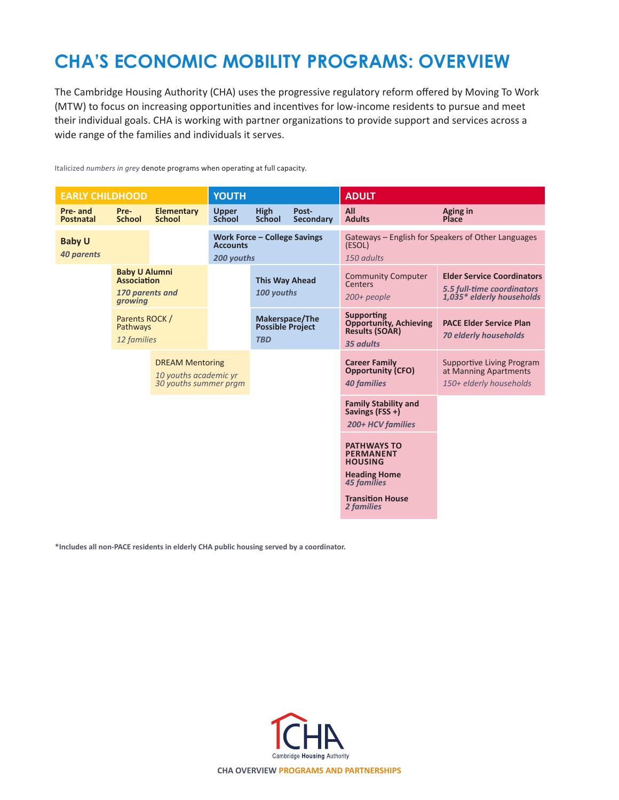# **CHA'S ECONOMIC MOBILITY PROGRAMS: OVERVIEW**

The Cambridge Housing Authority (CHA) uses the progressive regulatory reform offered by Moving To Work (MTW) to focus on increasing opportunities and incentives for low-income residents to pursue and meet their individual goals. CHA is working with partner organizations to provide support and services across a wide range of the families and individuals it serves.

Italicized *numbers in grey* denote programs when operating at full capacity.

| <b>EARLY CHILDHOOD</b>             |                                                                          | <b>YOUTH</b>                       |                                                                      |                                                         | <b>ADULT</b>                                                           |                                                                                          |                                                                                              |
|------------------------------------|--------------------------------------------------------------------------|------------------------------------|----------------------------------------------------------------------|---------------------------------------------------------|------------------------------------------------------------------------|------------------------------------------------------------------------------------------|----------------------------------------------------------------------------------------------|
| Pre- and<br><b>Postnatal</b>       | Pre-<br><b>School</b>                                                    | <b>Elementary</b><br><b>School</b> | <b>Upper</b><br><b>School</b>                                        | High<br><b>School</b>                                   | Post-<br><b>Secondary</b>                                              | All<br><b>Adults</b>                                                                     | Aging in<br><b>Place</b>                                                                     |
| <b>Baby U</b><br><b>40 parents</b> |                                                                          |                                    | <b>Work Force - College Savings</b><br><b>Accounts</b><br>200 youths |                                                         |                                                                        | Gateways – English for Speakers of Other Languages<br>(ESOL)<br>150 adults               |                                                                                              |
|                                    | <b>Baby U Alumni</b><br><b>Association</b><br>170 parents and<br>growing |                                    |                                                                      | <b>This Way Ahead</b><br>100 youths                     |                                                                        | <b>Community Computer</b><br>Centers<br>$200+$ people                                    | <b>Elder Service Coordinators</b><br>5.5 full-time coordinators<br>1,035* elderly households |
|                                    | Parents ROCK /<br>Pathways<br>12 families                                |                                    |                                                                      | Makerspace/The<br><b>Possible Project</b><br><b>TBD</b> |                                                                        | <b>Supporting</b><br><b>Opportunity, Achieving</b><br><b>Results (SOAR)</b><br>35 adults | <b>PACE Elder Service Plan</b><br><b>70 elderly households</b>                               |
|                                    | <b>DREAM Mentoring</b><br>10 youths academic yr<br>30 youths summer pram |                                    |                                                                      |                                                         | <b>Career Family</b><br><b>Opportunity (CFO)</b><br><b>40 families</b> | <b>Supportive Living Program</b><br>at Manning Apartments<br>150+ elderly households     |                                                                                              |
|                                    |                                                                          |                                    |                                                                      |                                                         |                                                                        | <b>Family Stability and</b><br>Savings (FSS +)<br>200+ HCV families                      |                                                                                              |
|                                    |                                                                          |                                    |                                                                      |                                                         | <b>PATHWAYS TO</b><br><b>PERMANENT</b><br><b>HOUSING</b>               |                                                                                          |                                                                                              |
|                                    |                                                                          |                                    |                                                                      |                                                         |                                                                        | <b>Heading Home</b><br><b>45 families</b><br><b>Transition House</b><br>2 families       |                                                                                              |

**\*Includes all non-PACE residents in elderly CHA public housing served by a coordinator.**